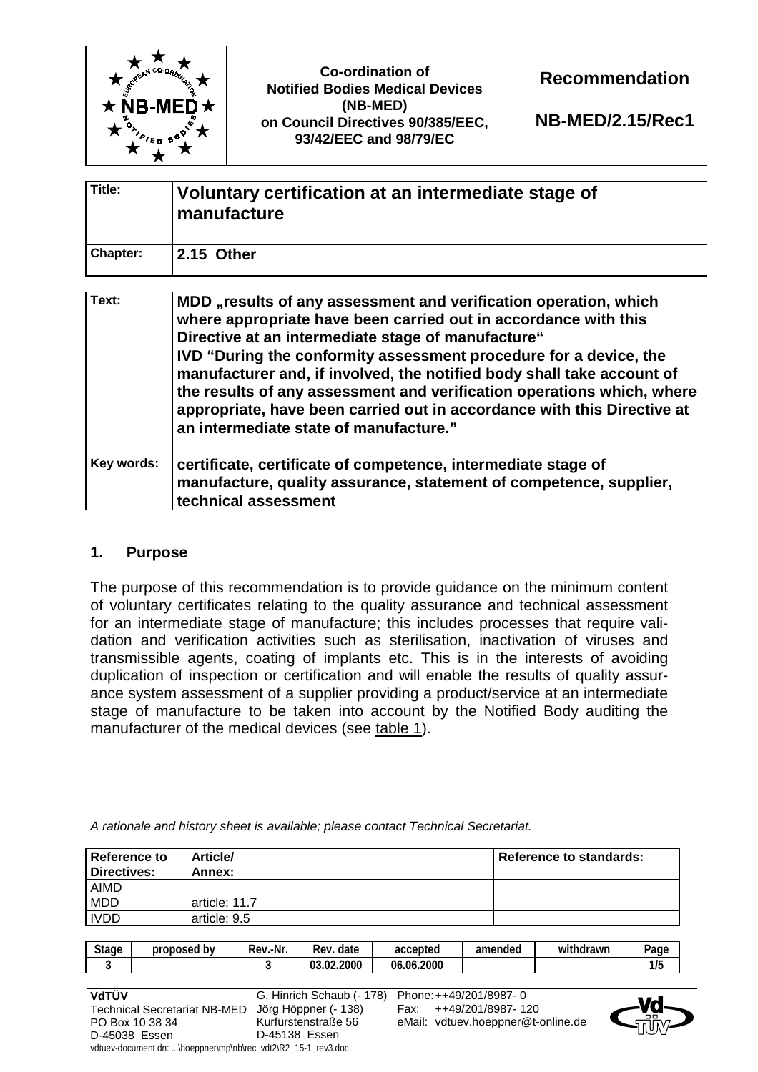| $MCO$ -Co.<br>$\star$ NB-MED $\star$ | <b>Co-ordination of</b><br><b>Notified Bodies Medical Devices</b><br>(NB-MED)<br>on Council Directives 90/385/EEC,<br>93/42/EEC and 98/79/EC | <b>Recommendation</b><br>NB-MED/2.15/Rec1 |
|--------------------------------------|----------------------------------------------------------------------------------------------------------------------------------------------|-------------------------------------------|
|--------------------------------------|----------------------------------------------------------------------------------------------------------------------------------------------|-------------------------------------------|

| Title:          | Voluntary certification at an intermediate stage of<br>manufacture |
|-----------------|--------------------------------------------------------------------|
| <b>Chapter:</b> | 2.15 Other                                                         |

| Text:      | MDD "results of any assessment and verification operation, which<br>where appropriate have been carried out in accordance with this<br>Directive at an intermediate stage of manufacture"<br>IVD "During the conformity assessment procedure for a device, the<br>manufacturer and, if involved, the notified body shall take account of<br>the results of any assessment and verification operations which, where<br>appropriate, have been carried out in accordance with this Directive at<br>an intermediate state of manufacture." |
|------------|-----------------------------------------------------------------------------------------------------------------------------------------------------------------------------------------------------------------------------------------------------------------------------------------------------------------------------------------------------------------------------------------------------------------------------------------------------------------------------------------------------------------------------------------|
| Key words: | certificate, certificate of competence, intermediate stage of<br>manufacture, quality assurance, statement of competence, supplier,<br>technical assessment                                                                                                                                                                                                                                                                                                                                                                             |

## **1. Purpose**

The purpose of this recommendation is to provide guidance on the minimum content of voluntary certificates relating to the quality assurance and technical assessment for an intermediate stage of manufacture; this includes processes that require validation and verification activities such as sterilisation, inactivation of viruses and transmissible agents, coating of implants etc. This is in the interests of avoiding duplication of inspection or certification and will enable the results of quality assurance system assessment of a supplier providing a product/service at an intermediate stage of manufacture to be taken into account by the Notified Body auditing the manufacturer of the medical devices (see table 1).

| <b>Reference to</b><br><b>Directives:</b> | <b>Article/</b><br>Annex: | Reference to standards: |
|-------------------------------------------|---------------------------|-------------------------|
| AIMD                                      |                           |                         |
| <b>MDD</b>                                | article: 11.7             |                         |
| <b>IVDD</b>                               | article: 9.5              |                         |

*A rationale and history sheet is available; please contact Technical Secretariat.* 

| $1/\Gamma$<br>03.02.2000<br>06.06.2000<br>11 J | <b>Stage</b> | proposed by | -<br>∵-Nr.<br>Rev. | Rev.<br>date | accepted | amended | .<br>withdrawn | Page |
|------------------------------------------------|--------------|-------------|--------------------|--------------|----------|---------|----------------|------|
|                                                |              |             |                    |              |          |         |                |      |

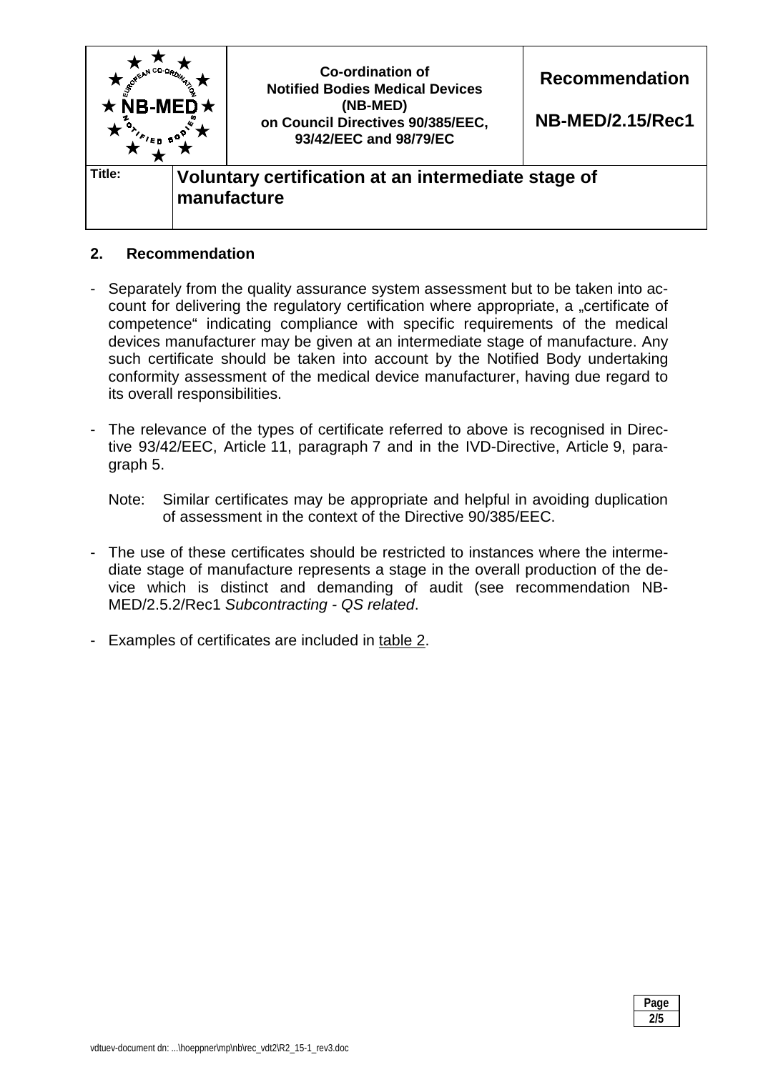

# **2. Recommendation**

- Separately from the quality assurance system assessment but to be taken into account for delivering the regulatory certification where appropriate, a "certificate of competence" indicating compliance with specific requirements of the medical devices manufacturer may be given at an intermediate stage of manufacture. Any such certificate should be taken into account by the Notified Body undertaking conformity assessment of the medical device manufacturer, having due regard to its overall responsibilities.
- The relevance of the types of certificate referred to above is recognised in Directive 93/42/EEC, Article 11, paragraph 7 and in the IVD-Directive, Article 9, paragraph 5.
	- Note: Similar certificates may be appropriate and helpful in avoiding duplication of assessment in the context of the Directive 90/385/EEC.
- The use of these certificates should be restricted to instances where the intermediate stage of manufacture represents a stage in the overall production of the device which is distinct and demanding of audit (see recommendation NB-MED/2.5.2/Rec1 *Subcontracting - QS related*.
- Examples of certificates are included in table 2.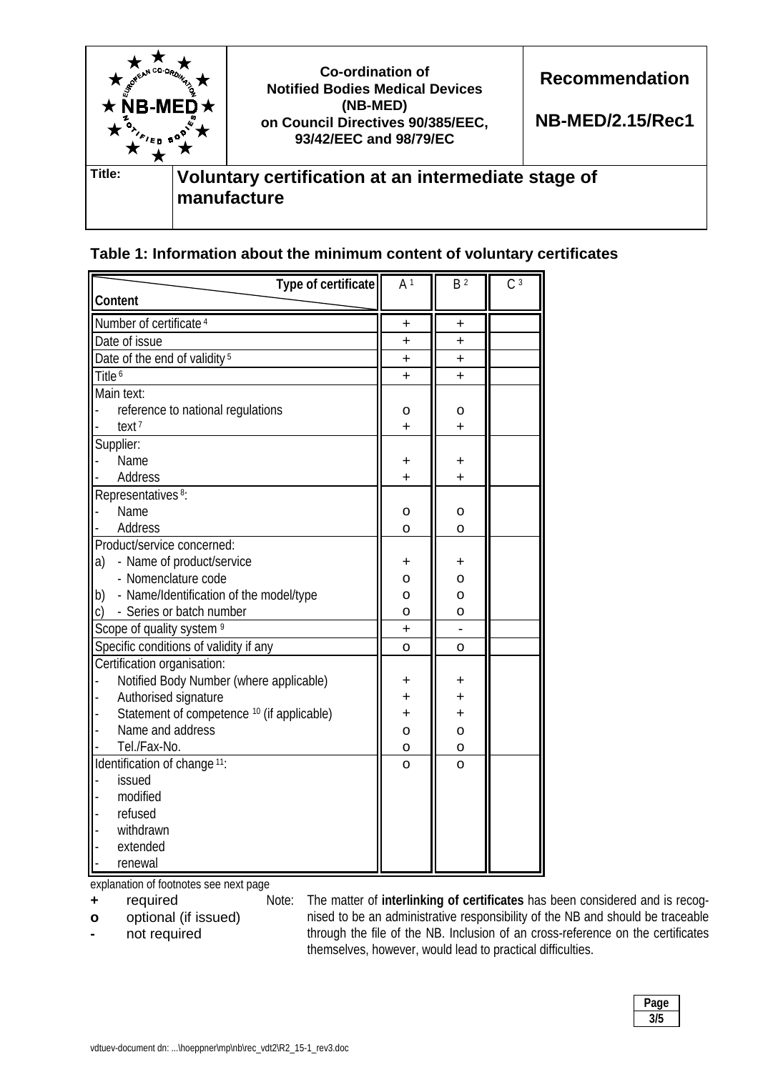

| Table 1: Information about the minimum content of voluntary certificates |  |
|--------------------------------------------------------------------------|--|
|--------------------------------------------------------------------------|--|

| Type of certificate                                   | A <sup>1</sup> | B <sup>2</sup> | C <sup>3</sup> |
|-------------------------------------------------------|----------------|----------------|----------------|
| Content                                               |                |                |                |
| Number of certificate <sup>4</sup>                    | $\ddot{}$      | ٠              |                |
| Date of issue                                         | ÷              | $\ddot{}$      |                |
| Date of the end of validity <sup>5</sup>              | $\ddot{}$      | $\ddot{}$      |                |
| Title <sup>6</sup>                                    | $\ddot{}$      | $\ddot{}$      |                |
| Main text:                                            |                |                |                |
| reference to national regulations                     | о              | o              |                |
| text <sup>7</sup>                                     | $\ddot{}$      | $\ddot{}$      |                |
| Supplier:                                             |                |                |                |
| Name                                                  | ٠              | +              |                |
| Address                                               | $\ddot{}$      | $\ddot{}$      |                |
| Representatives <sup>8</sup> :                        |                |                |                |
| Name                                                  | о              | o              |                |
| <b>Address</b>                                        | O              | $\overline{O}$ |                |
| Product/service concerned:                            |                |                |                |
| - Name of product/service<br>a)                       | +              | +              |                |
| - Nomenclature code                                   | O              | O              |                |
| b)<br>- Name/Identification of the model/type         | O              | $\overline{O}$ |                |
| - Series or batch number<br>C)                        | $\circ$        | $\circ$        |                |
| Scope of quality system <sup>9</sup>                  | $\ddot{}$      |                |                |
| Specific conditions of validity if any                | $\overline{O}$ | O              |                |
| Certification organisation:                           |                |                |                |
| Notified Body Number (where applicable)               | +              |                |                |
| Authorised signature                                  | $\ddot{}$      | $\ddot{}$      |                |
| Statement of competence <sup>10</sup> (if applicable) | $\ddot{}$      | $\ddot{}$      |                |
| Name and address                                      | $\mathsf{o}$   | $\circ$        |                |
| Tel./Fax-No.                                          | 0              | $\mathsf{o}$   |                |
| Identification of change <sup>11</sup> :              | $\overline{O}$ | $\overline{O}$ |                |
| issued                                                |                |                |                |
| modified                                              |                |                |                |
| refused                                               |                |                |                |
| withdrawn                                             |                |                |                |
| extended                                              |                |                |                |
| renewal                                               |                |                |                |

explanation of footnotes see next page

- **+** required
- **o** optional (if issued)
- **-** not required

Note: The matter of **interlinking of certificates** has been considered and is recognised to be an administrative responsibility of the NB and should be traceable through the file of the NB. Inclusion of an cross-reference on the certificates themselves, however, would lead to practical difficulties.

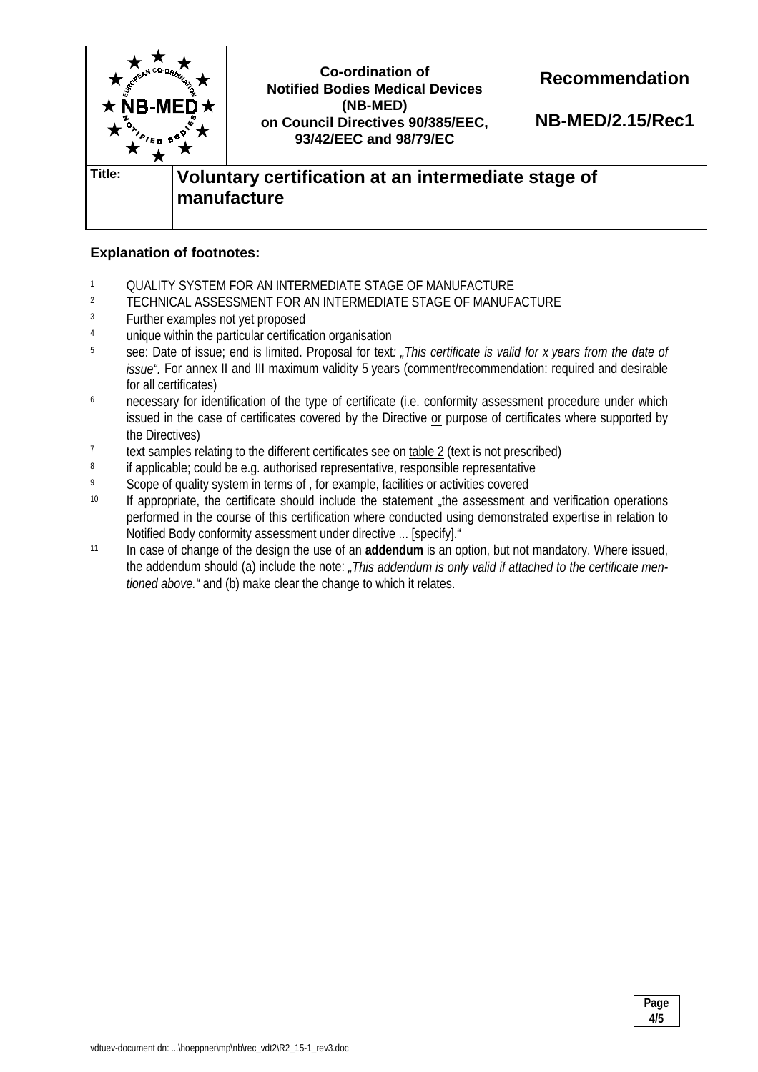

## **Explanation of footnotes:**

- 1 QUALITY SYSTEM FOR AN INTERMEDIATE STAGE OF MANUFACTURE<br>2 TECHNICAL ASSESSMENT FOR AN INTERMEDIATE STAGE OF MANUE
- <sup>2</sup> TECHNICAL ASSESSMENT FOR AN INTERMEDIATE STAGE OF MANUFACTURE<br><sup>3</sup> Eurther examples not yet proposed
- Further examples not yet proposed
- 4 unique within the particular certification organisation
- 5 see: Date of issue; end is limited. Proposal for text*: "This certificate is valid for x years from the date of issue".* For annex II and III maximum validity 5 years (comment/recommendation: required and desirable for all certificates)
- <sup>6</sup> necessary for identification of the type of certificate (i.e. conformity assessment procedure under which issued in the case of certificates covered by the Directive or purpose of certificates where supported by the Directives)
- <sup>7</sup> text samples relating to the different certificates see on  $\underline{\text{table 2}}$  (text is not prescribed)<br><sup>8</sup> if annicable: could be e.g. authorised representative responsible representative
- If applicable; could be e.g. authorised representative, responsible representative
- <sup>9</sup> Scope of quality system in terms of , for example, facilities or activities covered
- <sup>10</sup> If appropriate, the certificate should include the statement "the assessment and verification operations" performed in the course of this certification where conducted using demonstrated expertise in relation to Notified Body conformity assessment under directive ... [specify]."
- 11 In case of change of the design the use of an **addendum** is an option, but not mandatory. Where issued, the addendum should (a) include the note: *"This addendum is only valid if attached to the certificate mentioned above."* and (b) make clear the change to which it relates.

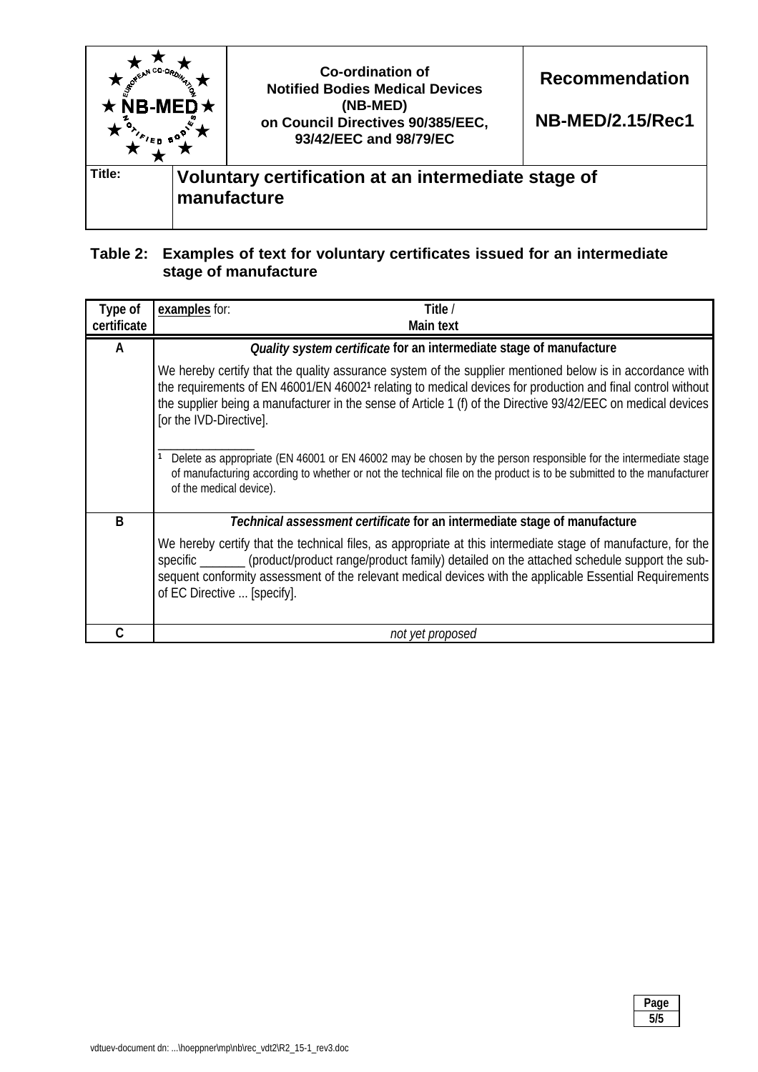

# **Table 2: Examples of text for voluntary certificates issued for an intermediate stage of manufacture**

| Type of<br>certificate | examples for:<br>Title /<br><b>Main text</b>                                                                                                                                                                                                                                                                                                                                                                                                                                                                                                                                                                                               |
|------------------------|--------------------------------------------------------------------------------------------------------------------------------------------------------------------------------------------------------------------------------------------------------------------------------------------------------------------------------------------------------------------------------------------------------------------------------------------------------------------------------------------------------------------------------------------------------------------------------------------------------------------------------------------|
|                        |                                                                                                                                                                                                                                                                                                                                                                                                                                                                                                                                                                                                                                            |
| A                      | Quality system certificate for an intermediate stage of manufacture                                                                                                                                                                                                                                                                                                                                                                                                                                                                                                                                                                        |
|                        | We hereby certify that the quality assurance system of the supplier mentioned below is in accordance with<br>the requirements of EN 46001/EN 460021 relating to medical devices for production and final control without<br>the supplier being a manufacturer in the sense of Article 1 (f) of the Directive 93/42/EEC on medical devices<br>[or the IVD-Directive].<br>Delete as appropriate (EN 46001 or EN 46002 may be chosen by the person responsible for the intermediate stage<br>of manufacturing according to whether or not the technical file on the product is to be submitted to the manufacturer<br>of the medical device). |
| B                      | Technical assessment certificate for an intermediate stage of manufacture                                                                                                                                                                                                                                                                                                                                                                                                                                                                                                                                                                  |
|                        | We hereby certify that the technical files, as appropriate at this intermediate stage of manufacture, for the<br>specific _______ (product/product range/product family) detailed on the attached schedule support the sub-<br>sequent conformity assessment of the relevant medical devices with the applicable Essential Requirements<br>of EC Directive  [specify].                                                                                                                                                                                                                                                                     |
|                        | not yet proposed                                                                                                                                                                                                                                                                                                                                                                                                                                                                                                                                                                                                                           |

| Page<br>. . |
|-------------|
| 5/5         |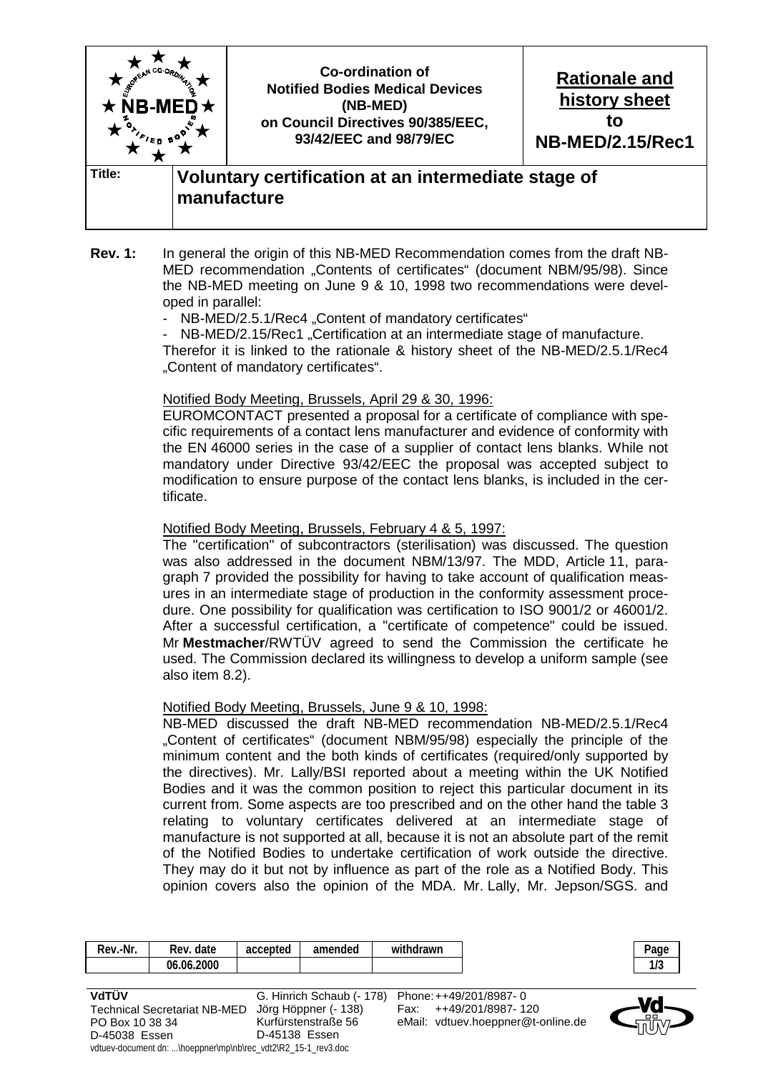

- **Rev. 1:** In general the origin of this NB-MED Recommendation comes from the draft NB-MED recommendation "Contents of certificates" (document NBM/95/98). Since the NB-MED meeting on June 9 & 10, 1998 two recommendations were developed in parallel:
	- NB-MED/2.5.1/Rec4 "Content of mandatory certificates"

NB-MED/2.15/Rec1 "Certification at an intermediate stage of manufacture. Therefor it is linked to the rationale & history sheet of the NB-MED/2.5.1/Rec4 "Content of mandatory certificates".

### Notified Body Meeting, Brussels, April 29 & 30, 1996:

 EUROMCONTACT presented a proposal for a certificate of compliance with specific requirements of a contact lens manufacturer and evidence of conformity with the EN 46000 series in the case of a supplier of contact lens blanks. While not mandatory under Directive 93/42/EEC the proposal was accepted subject to modification to ensure purpose of the contact lens blanks, is included in the certificate.

### Notified Body Meeting, Brussels, February 4 & 5, 1997:

 The "certification" of subcontractors (sterilisation) was discussed. The question was also addressed in the document NBM/13/97. The MDD, Article 11, paragraph 7 provided the possibility for having to take account of qualification measures in an intermediate stage of production in the conformity assessment procedure. One possibility for qualification was certification to ISO 9001/2 or 46001/2. After a successful certification, a "certificate of competence" could be issued. Mr **Mestmacher**/RWTÜV agreed to send the Commission the certificate he used. The Commission declared its willingness to develop a uniform sample (see also item 8.2).

### Notified Body Meeting, Brussels, June 9 & 10, 1998:

 NB-MED discussed the draft NB-MED recommendation NB-MED/2.5.1/Rec4 "Content of certificates" (document NBM/95/98) especially the principle of the minimum content and the both kinds of certificates (required/only supported by the directives). Mr. Lally/BSI reported about a meeting within the UK Notified Bodies and it was the common position to reject this particular document in its current from. Some aspects are too prescribed and on the other hand the table 3 relating to voluntary certificates delivered at an intermediate stage of manufacture is not supported at all, because it is not an absolute part of the remit of the Notified Bodies to undertake certification of work outside the directive. They may do it but not by influence as part of the role as a Notified Body. This opinion covers also the opinion of the MDA. Mr. Lally, Mr. Jepson/SGS. and

| Rev.-Nr.                                                      | Rev. date  | accepted | amended                   | withdrawn |                                    | Page |
|---------------------------------------------------------------|------------|----------|---------------------------|-----------|------------------------------------|------|
|                                                               | 06.06.2000 |          |                           |           |                                    | 1/3  |
|                                                               |            |          |                           |           |                                    |      |
| VdTÜV                                                         |            |          | G. Hinrich Schaub (- 178) |           | Phone: ++49/201/8987-0             |      |
| <b>Technical Secretariat NB-MED</b>                           |            |          | Jörg Höppner (- 138)      | Fax:      | ++49/201/8987-120                  |      |
| PO Box 10 38 34                                               |            |          | Kurfürstenstraße 56       |           | eMail: vdtuev.hoeppner@t-online.de |      |
| D-45038 Essen                                                 |            |          | D-45138 Essen             |           |                                    |      |
| vdtuev-document dn: \hoeppner\mp\nb\rec_vdt2\R2_15-1_rev3.doc |            |          |                           |           |                                    |      |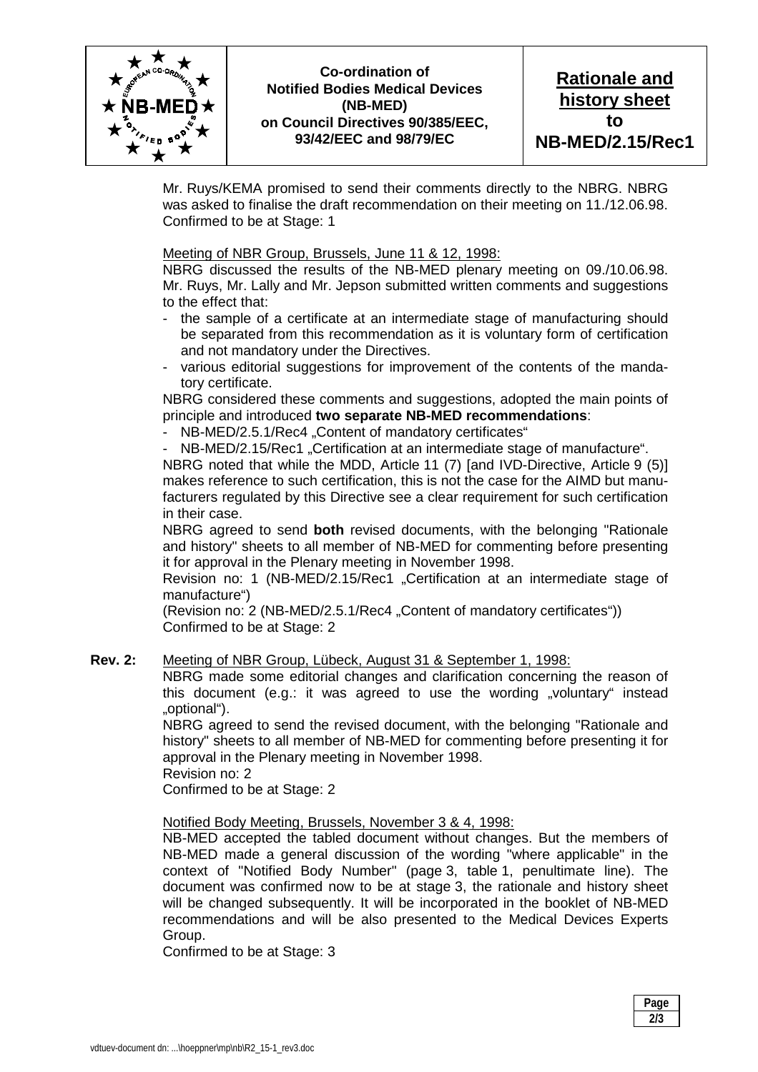

## **Co-ordination of Notified Bodies Medical Devices (NB-MED) on Council Directives 90/385/EEC, 93/42/EEC and 98/79/EC**

**Rationale and history sheet to NB-MED/2.15/Rec1** 

Mr. Ruys/KEMA promised to send their comments directly to the NBRG. NBRG was asked to finalise the draft recommendation on their meeting on 11./12.06.98. Confirmed to be at Stage: 1

Meeting of NBR Group, Brussels, June 11 & 12, 1998:

 NBRG discussed the results of the NB-MED plenary meeting on 09./10.06.98. Mr. Ruys, Mr. Lally and Mr. Jepson submitted written comments and suggestions to the effect that:

- the sample of a certificate at an intermediate stage of manufacturing should be separated from this recommendation as it is voluntary form of certification and not mandatory under the Directives.
- various editorial suggestions for improvement of the contents of the mandatory certificate.

 NBRG considered these comments and suggestions, adopted the main points of principle and introduced **two separate NB-MED recommendations**:

- NB-MED/2.5.1/Rec4 "Content of mandatory certificates"

NB-MED/2.15/Rec1 "Certification at an intermediate stage of manufacture".

 NBRG noted that while the MDD, Article 11 (7) [and IVD-Directive, Article 9 (5)] makes reference to such certification, this is not the case for the AIMD but manufacturers regulated by this Directive see a clear requirement for such certification in their case.

 NBRG agreed to send **both** revised documents, with the belonging "Rationale and history" sheets to all member of NB-MED for commenting before presenting it for approval in the Plenary meeting in November 1998.

Revision no: 1 (NB-MED/2.15/Rec1 .Certification at an intermediate stage of manufacture")

(Revision no: 2 (NB-MED/2.5.1/Rec4 .Content of mandatory certificates")) Confirmed to be at Stage: 2

### **Rev. 2:** Meeting of NBR Group, Lübeck, August 31 & September 1, 1998:

 NBRG made some editorial changes and clarification concerning the reason of this document (e.g.: it was agreed to use the wording  $\sqrt{v}$  voluntary" instead "optional").

 NBRG agreed to send the revised document, with the belonging "Rationale and history" sheets to all member of NB-MED for commenting before presenting it for approval in the Plenary meeting in November 1998.

Revision no: 2

Confirmed to be at Stage: 2

#### Notified Body Meeting, Brussels, November 3 & 4, 1998:

 NB-MED accepted the tabled document without changes. But the members of NB-MED made a general discussion of the wording "where applicable" in the context of "Notified Body Number" (page 3, table 1, penultimate line). The document was confirmed now to be at stage 3, the rationale and history sheet will be changed subsequently. It will be incorporated in the booklet of NB-MED recommendations and will be also presented to the Medical Devices Experts Group.

Confirmed to be at Stage: 3